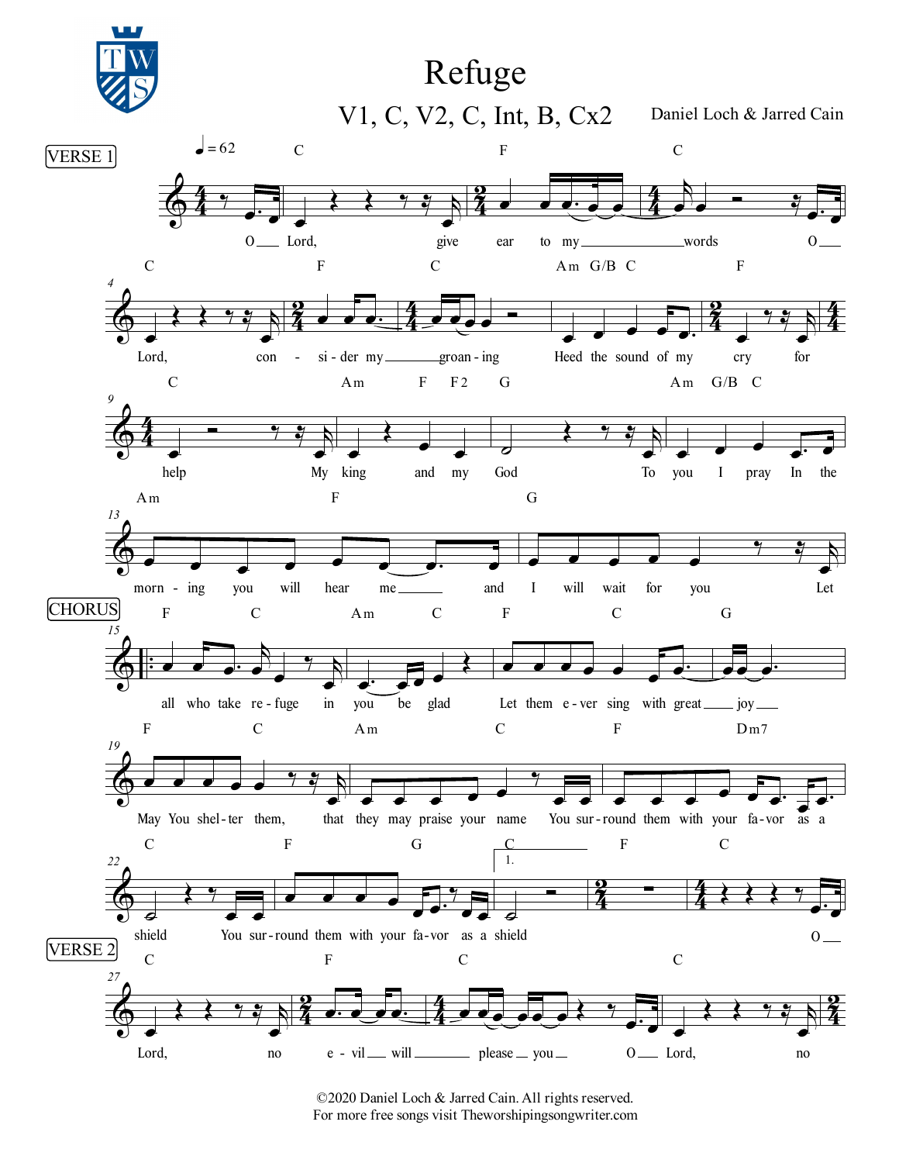

©2020 Daniel Loch & Jarred Cain. All rights reserved. For more free songs visit Theworshipingsongwriter.com